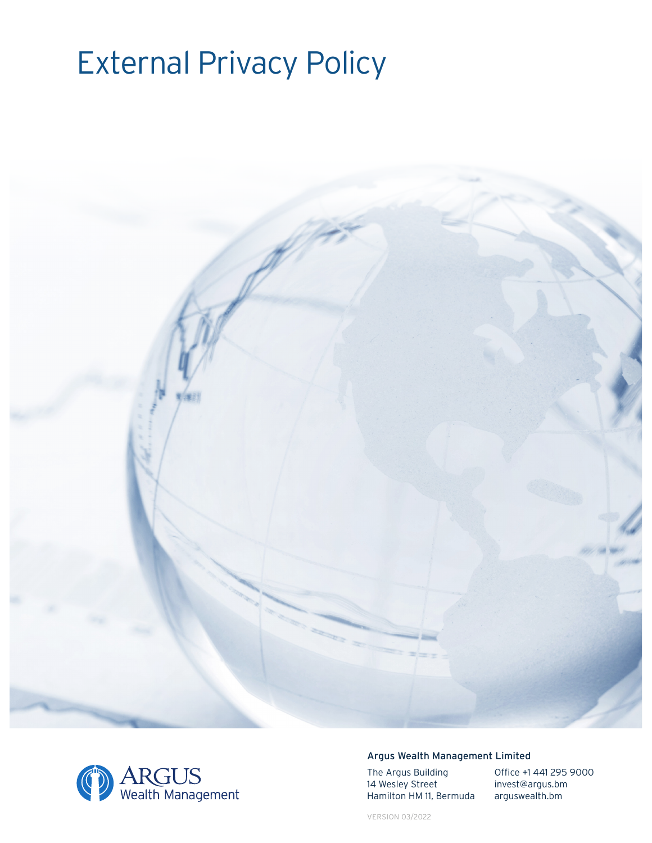# External Privacy Policy





## Argus Wealth Management Limited

The Argus Building 14 Wesley Street Hamilton HM 11, Bermuda Office +1 441 295 9000 invest@argus.bm arguswealth.bm

VERSION 03/2022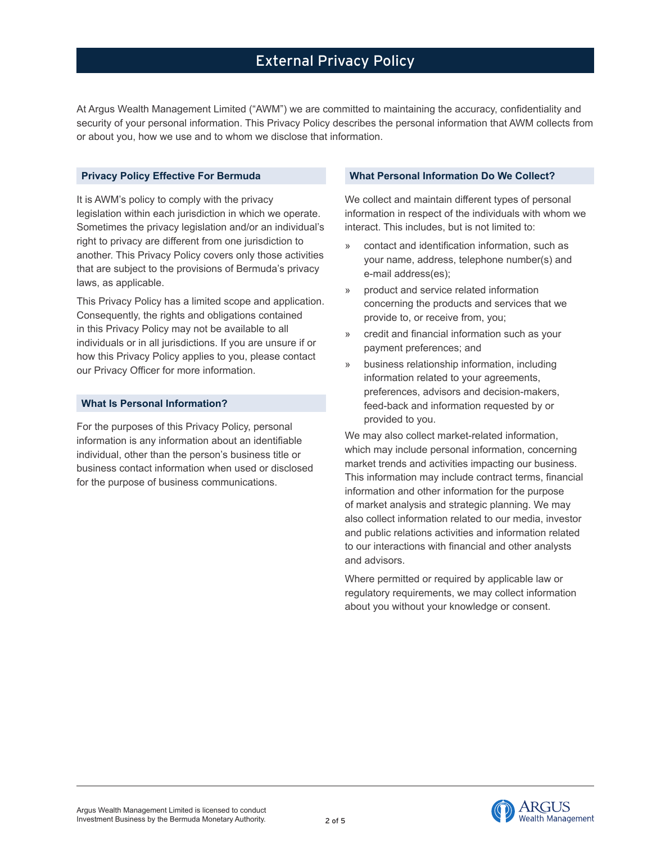At Argus Wealth Management Limited ("AWM") we are committed to maintaining the accuracy, confidentiality and security of your personal information. This Privacy Policy describes the personal information that AWM collects from or about you, how we use and to whom we disclose that information.

## **Privacy Policy Effective For Bermuda**

It is AWM's policy to comply with the privacy legislation within each jurisdiction in which we operate. Sometimes the privacy legislation and/or an individual's right to privacy are different from one jurisdiction to another. This Privacy Policy covers only those activities that are subject to the provisions of Bermuda's privacy laws, as applicable.

This Privacy Policy has a limited scope and application. Consequently, the rights and obligations contained in this Privacy Policy may not be available to all individuals or in all jurisdictions. If you are unsure if or how this Privacy Policy applies to you, please contact our Privacy Officer for more information.

#### **What Is Personal Information?**

For the purposes of this Privacy Policy, personal information is any information about an identifiable individual, other than the person's business title or business contact information when used or disclosed for the purpose of business communications.

#### **What Personal Information Do We Collect?**

We collect and maintain different types of personal information in respect of the individuals with whom we interact. This includes, but is not limited to:

- » contact and identification information, such as your name, address, telephone number(s) and e-mail address(es);
- » product and service related information concerning the products and services that we provide to, or receive from, you;
- » credit and financial information such as your payment preferences; and
- » business relationship information, including information related to your agreements, preferences, advisors and decision-makers, feed-back and information requested by or provided to you.

We may also collect market-related information, which may include personal information, concerning market trends and activities impacting our business. This information may include contract terms, financial information and other information for the purpose of market analysis and strategic planning. We may also collect information related to our media, investor and public relations activities and information related to our interactions with financial and other analysts and advisors.

Where permitted or required by applicable law or regulatory requirements, we may collect information about you without your knowledge or consent.

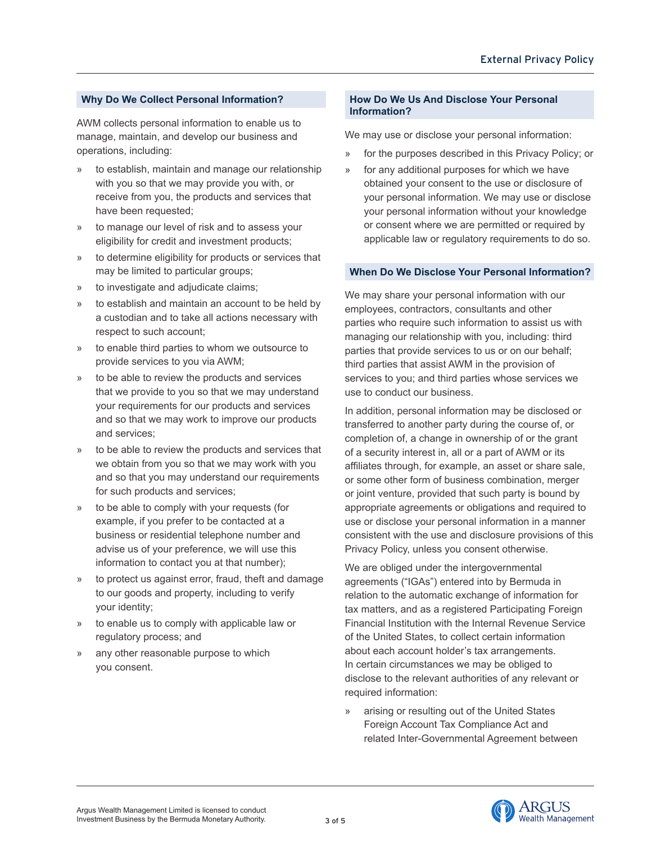## **Why Do We Collect Personal Information?**

AWM collects personal information to enable us to manage, maintain, and develop our business and operations, including:

- » to establish, maintain and manage our relationship with you so that we may provide you with, or receive from you, the products and services that have been requested;
- to manage our level of risk and to assess your eligibility for credit and investment products;
- » to determine eligibility for products or services that may be limited to particular groups;
- » to investigate and adjudicate claims;
- » to establish and maintain an account to be held by a custodian and to take all actions necessary with respect to such account;
- » to enable third parties to whom we outsource to provide services to you via AWM;
- » to be able to review the products and services that we provide to you so that we may understand your requirements for our products and services and so that we may work to improve our products and services;
- » to be able to review the products and services that we obtain from you so that we may work with you and so that you may understand our requirements for such products and services;
- » to be able to comply with your requests (for example, if you prefer to be contacted at a business or residential telephone number and advise us of your preference, we will use this information to contact you at that number);
- » to protect us against error, fraud, theft and damage to our goods and property, including to verify your identity;
- » to enable us to comply with applicable law or regulatory process; and
- any other reasonable purpose to which you consent.

## **How Do We Us And Disclose Your Personal Information?**

We may use or disclose your personal information:

- » for the purposes described in this Privacy Policy; or
- » for any additional purposes for which we have obtained your consent to the use or disclosure of your personal information. We may use or disclose your personal information without your knowledge or consent where we are permitted or required by applicable law or regulatory requirements to do so.

## **When Do We Disclose Your Personal Information?**

We may share your personal information with our employees, contractors, consultants and other parties who require such information to assist us with managing our relationship with you, including: third parties that provide services to us or on our behalf; third parties that assist AWM in the provision of services to you; and third parties whose services we use to conduct our business.

In addition, personal information may be disclosed or transferred to another party during the course of, or completion of, a change in ownership of or the grant of a security interest in, all or a part of AWM or its affiliates through, for example, an asset or share sale, or some other form of business combination, merger or joint venture, provided that such party is bound by appropriate agreements or obligations and required to use or disclose your personal information in a manner consistent with the use and disclosure provisions of this Privacy Policy, unless you consent otherwise.

We are obliged under the intergovernmental agreements ("IGAs") entered into by Bermuda in relation to the automatic exchange of information for tax matters, and as a registered Participating Foreign Financial Institution with the Internal Revenue Service of the United States, to collect certain information about each account holder's tax arrangements. In certain circumstances we may be obliged to disclose to the relevant authorities of any relevant or required information:

arising or resulting out of the United States Foreign Account Tax Compliance Act and related Inter-Governmental Agreement between

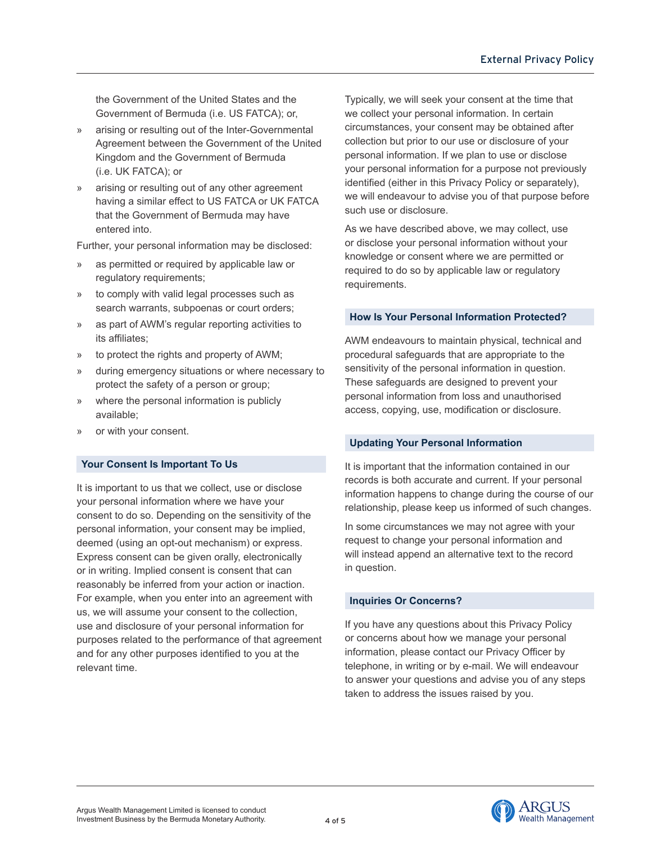the Government of the United States and the Government of Bermuda (i.e. US FATCA); or,

- » arising or resulting out of the Inter-Governmental Agreement between the Government of the United Kingdom and the Government of Bermuda (i.e. UK FATCA); or
- arising or resulting out of any other agreement having a similar effect to US FATCA or UK FATCA that the Government of Bermuda may have entered into.

Further, your personal information may be disclosed:

- as permitted or required by applicable law or regulatory requirements;
- » to comply with valid legal processes such as search warrants, subpoenas or court orders;
- » as part of AWM's regular reporting activities to its affiliates;
- » to protect the rights and property of AWM;
- » during emergency situations or where necessary to protect the safety of a person or group;
- » where the personal information is publicly available;
- or with your consent.

#### **Your Consent Is Important To Us**

It is important to us that we collect, use or disclose your personal information where we have your consent to do so. Depending on the sensitivity of the personal information, your consent may be implied, deemed (using an opt-out mechanism) or express. Express consent can be given orally, electronically or in writing. Implied consent is consent that can reasonably be inferred from your action or inaction. For example, when you enter into an agreement with us, we will assume your consent to the collection, use and disclosure of your personal information for purposes related to the performance of that agreement and for any other purposes identified to you at the relevant time.

Typically, we will seek your consent at the time that we collect your personal information. In certain circumstances, your consent may be obtained after collection but prior to our use or disclosure of your personal information. If we plan to use or disclose your personal information for a purpose not previously identified (either in this Privacy Policy or separately), we will endeavour to advise you of that purpose before such use or disclosure.

As we have described above, we may collect, use or disclose your personal information without your knowledge or consent where we are permitted or required to do so by applicable law or regulatory requirements.

## **How Is Your Personal Information Protected?**

AWM endeavours to maintain physical, technical and procedural safeguards that are appropriate to the sensitivity of the personal information in question. These safeguards are designed to prevent your personal information from loss and unauthorised access, copying, use, modification or disclosure.

#### **Updating Your Personal Information**

It is important that the information contained in our records is both accurate and current. If your personal information happens to change during the course of our relationship, please keep us informed of such changes.

In some circumstances we may not agree with your request to change your personal information and will instead append an alternative text to the record in question.

## **Inquiries Or Concerns?**

If you have any questions about this Privacy Policy or concerns about how we manage your personal information, please contact our Privacy Officer by telephone, in writing or by e-mail. We will endeavour to answer your questions and advise you of any steps taken to address the issues raised by you.